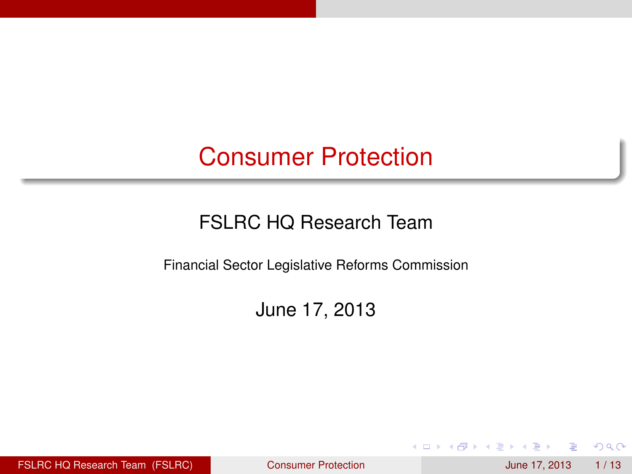### Consumer Protection

### FSLRC HQ Research Team

Financial Sector Legislative Reforms Commission

June 17, 2013

FSLRC HQ Research Team (FSLRC) [Consumer Protection](#page-12-0) and June 17, 2013 1/13

4 17 18

<span id="page-0-0"></span> $QQ$ 

**Britished**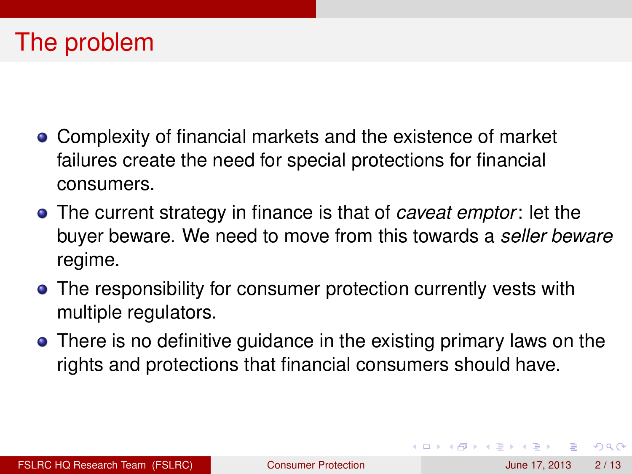### The problem

- Complexity of financial markets and the existence of market failures create the need for special protections for financial consumers.
- The current strategy in finance is that of *caveat emptor*: let the buyer beware. We need to move from this towards a *seller beware* regime.
- The responsibility for consumer protection currently vests with multiple regulators.
- **•** There is no definitive guidance in the existing primary laws on the rights and protections that financial consumers should have.

 $\Omega$ 

イロト イ押ト イヨト イヨト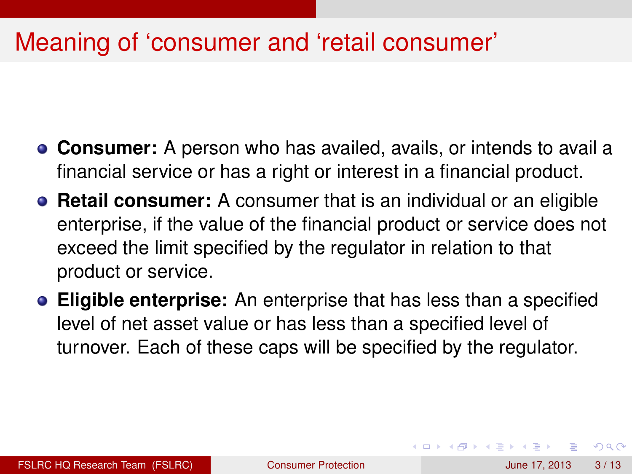## Meaning of 'consumer and 'retail consumer'

- **Consumer:** A person who has availed, avails, or intends to avail a financial service or has a right or interest in a financial product.
- **Retail consumer:** A consumer that is an individual or an eligible enterprise, if the value of the financial product or service does not exceed the limit specified by the regulator in relation to that product or service.
- **Eligible enterprise:** An enterprise that has less than a specified level of net asset value or has less than a specified level of turnover. Each of these caps will be specified by the regulator.

 $\Omega$ 

(ロトイ部)→(差)→(差)→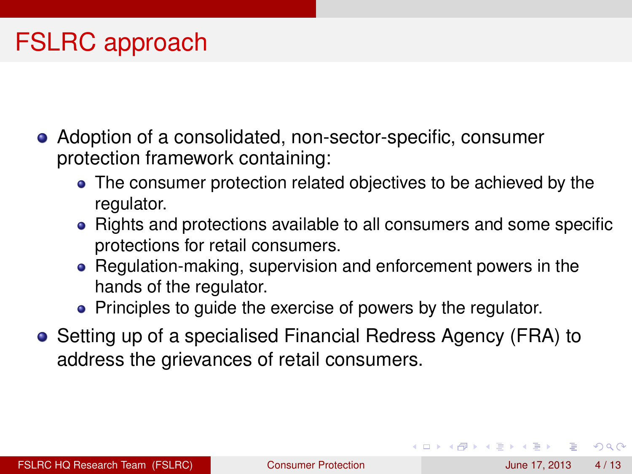- Adoption of a consolidated, non-sector-specific, consumer protection framework containing:
	- The consumer protection related objectives to be achieved by the regulator.
	- Rights and protections available to all consumers and some specific protections for retail consumers.
	- Regulation-making, supervision and enforcement powers in the hands of the regulator.
	- Principles to guide the exercise of powers by the regulator.
- Setting up of a specialised Financial Redress Agency (FRA) to address the grievances of retail consumers.

 $\Omega$ 

(ロトイ部)→(差)→(差)→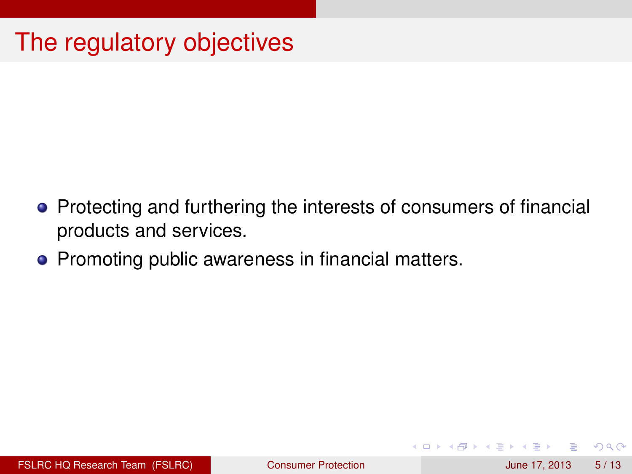# The regulatory objectives

- Protecting and furthering the interests of consumers of financial products and services.
- Promoting public awareness in financial matters.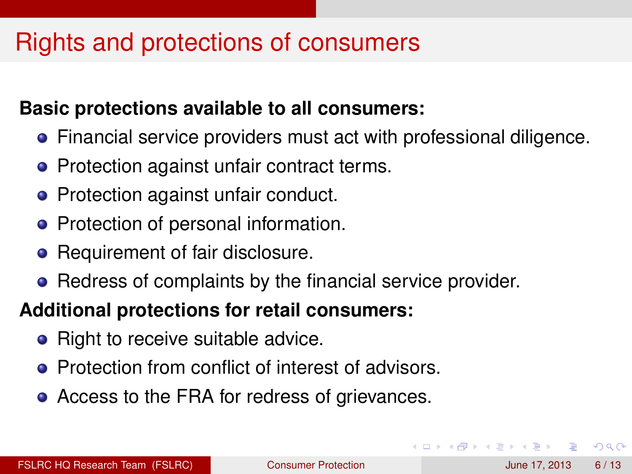## Rights and protections of consumers

#### **Basic protections available to all consumers:**

- Financial service providers must act with professional diligence.
- Protection against unfair contract terms.
- Protection against unfair conduct.
- Protection of personal information.
- Requirement of fair disclosure.
- Redress of complaints by the financial service provider.

#### **Additional protections for retail consumers:**

- Right to receive suitable advice.
- **Protection from conflict of interest of advisors.**
- Access to the FRA for redress of grievances.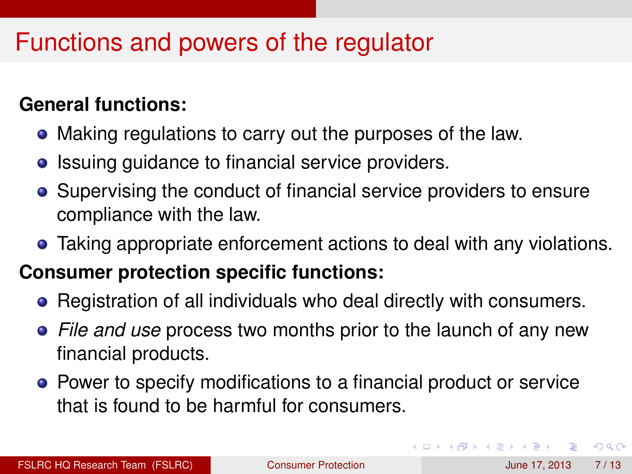## Functions and powers of the regulator

#### **General functions:**

- Making regulations to carry out the purposes of the law.
- Issuing guidance to financial service providers.
- Supervising the conduct of financial service providers to ensure compliance with the law.
- Taking appropriate enforcement actions to deal with any violations.

### **Consumer protection specific functions:**

- Registration of all individuals who deal directly with consumers.
- *File and use* process two months prior to the launch of any new financial products.
- Power to specify modifications to a financial product or service that is found to be harmful for consumers.

 $\Omega$ 

イロト イ押ト イヨト イヨト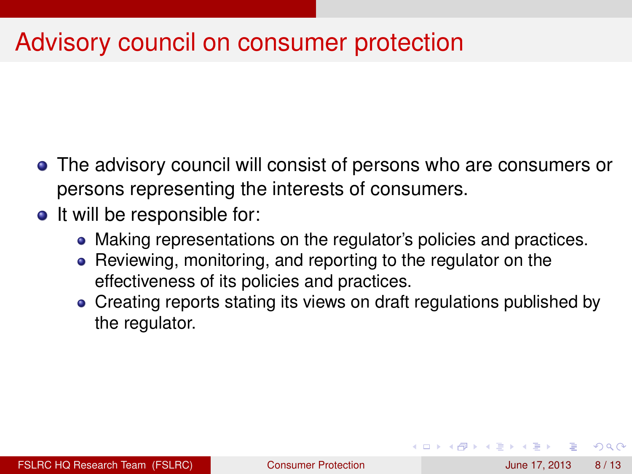## Advisory council on consumer protection

- The advisory council will consist of persons who are consumers or persons representing the interests of consumers.
- It will be responsible for:
	- Making representations on the regulator's policies and practices.
	- Reviewing, monitoring, and reporting to the regulator on the effectiveness of its policies and practices.
	- Creating reports stating its views on draft regulations published by the regulator.

 $\Omega$ 

イロト イ押ト イヨト イヨト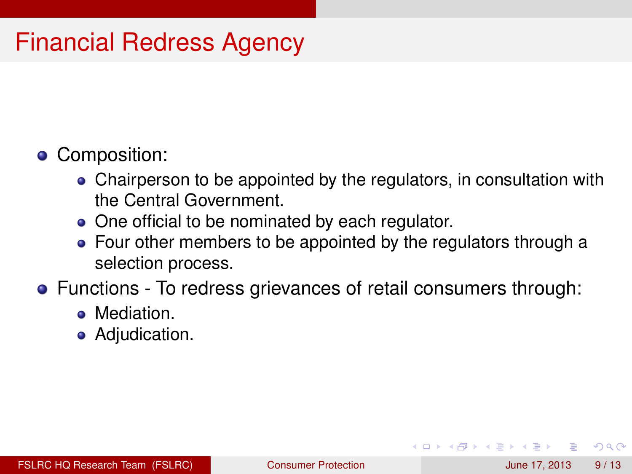# Financial Redress Agency

- Composition:
	- Chairperson to be appointed by the regulators, in consultation with the Central Government.
	- One official to be nominated by each regulator.
	- Four other members to be appointed by the regulators through a selection process.
- Functions To redress grievances of retail consumers through:
	- **Mediation**
	- **•** Adjudication.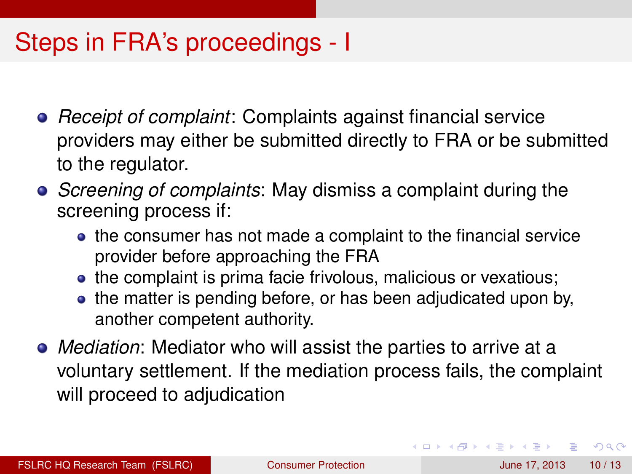## Steps in FRA's proceedings - I

- *Receipt of complaint*: Complaints against financial service providers may either be submitted directly to FRA or be submitted to the regulator.
- *Screening of complaints*: May dismiss a complaint during the screening process if:
	- the consumer has not made a complaint to the financial service provider before approaching the FRA
	- the complaint is prima facie frivolous, malicious or vexatious;
	- the matter is pending before, or has been adjudicated upon by, another competent authority.
- *Mediation*: Mediator who will assist the parties to arrive at a voluntary settlement. If the mediation process fails, the complaint will proceed to adjudication

 $\Omega$ 

 $(0.123 \times 10^{-14} \text{ m}) \times 10^{-14} \text{ m} \times 10^{-14} \text{ m}$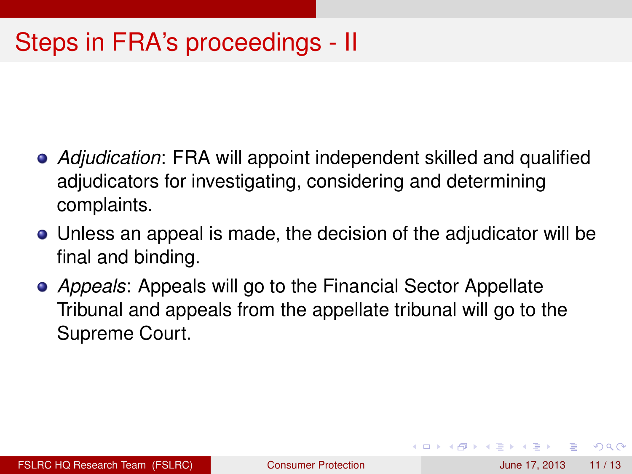# Steps in FRA's proceedings - II

- *Adjudication*: FRA will appoint independent skilled and qualified adjudicators for investigating, considering and determining complaints.
- Unless an appeal is made, the decision of the adjudicator will be final and binding.
- *Appeals*: Appeals will go to the Financial Sector Appellate Tribunal and appeals from the appellate tribunal will go to the Supreme Court.

 $\Omega$ 

4 **D + 4 fl + 4**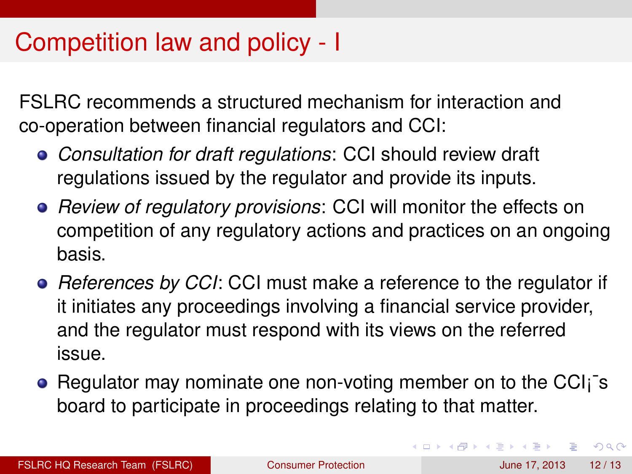## Competition law and policy - I

FSLRC recommends a structured mechanism for interaction and co-operation between financial regulators and CCI:

- *Consultation for draft regulations*: CCI should review draft regulations issued by the regulator and provide its inputs.
- *Review of regulatory provisions*: CCI will monitor the effects on competition of any regulatory actions and practices on an ongoing basis.
- *References by CCI*: CCI must make a reference to the regulator if it initiates any proceedings involving a financial service provider, and the regulator must respond with its views on the referred issue.
- Regulator may nominate one non-voting member on to the CCI<sub>i</sub><sup>-</sup>s board to participate in proceedings relating to that matter.

в

 $\Omega$ 

イロト イ押 トイラト イラト